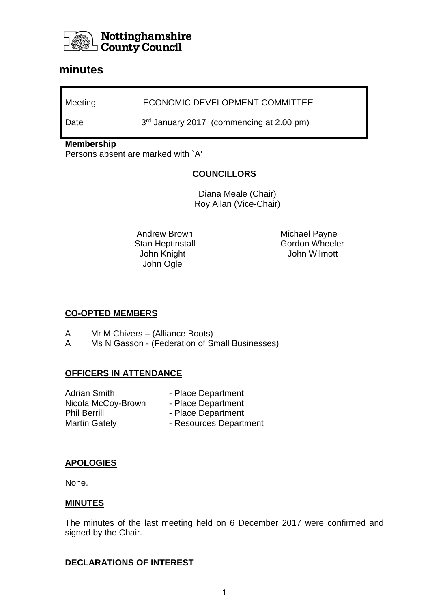

# **minutes**

Meeting **ECONOMIC DEVELOPMENT COMMITTEE** 

Date 3<sup>rd</sup> January 2017 (commencing at 2.00 pm)

#### **Membership**

Persons absent are marked with `A'

### **COUNCILLORS**

Diana Meale (Chair) Roy Allan (Vice-Chair)

 Andrew Brown Stan Heptinstall John Ogle

 Michael Payne Gordon Wheeler John Knight John Wilmott

#### **CO-OPTED MEMBERS**

- A Mr M Chivers (Alliance Boots)
- A Ms N Gasson (Federation of Small Businesses)

## **OFFICERS IN ATTENDANCE**

Adrian Smith - Place Department Nicola McCoy-Brown - Place Department Phil Berrill - Place Department Martin Gately **- Resources Department** 

## **APOLOGIES**

None.

## **MINUTES**

The minutes of the last meeting held on 6 December 2017 were confirmed and signed by the Chair.

# **DECLARATIONS OF INTEREST**